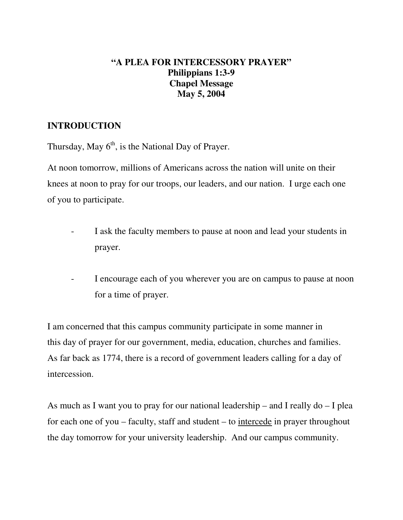## **"A PLEA FOR INTERCESSORY PRAYER" Philippians 1:3-9 Chapel Message May 5, 2004**

## **INTRODUCTION**

Thursday, May  $6<sup>th</sup>$ , is the National Day of Prayer.

At noon tomorrow, millions of Americans across the nation will unite on their knees at noon to pray for our troops, our leaders, and our nation. I urge each one of you to participate.

- I ask the faculty members to pause at noon and lead your students in prayer.
- I encourage each of you wherever you are on campus to pause at noon for a time of prayer.

I am concerned that this campus community participate in some manner in this day of prayer for our government, media, education, churches and families. As far back as 1774, there is a record of government leaders calling for a day of intercession.

As much as I want you to pray for our national leadership – and I really do – I plea for each one of you – faculty, staff and student – to intercede in prayer throughout the day tomorrow for your university leadership. And our campus community.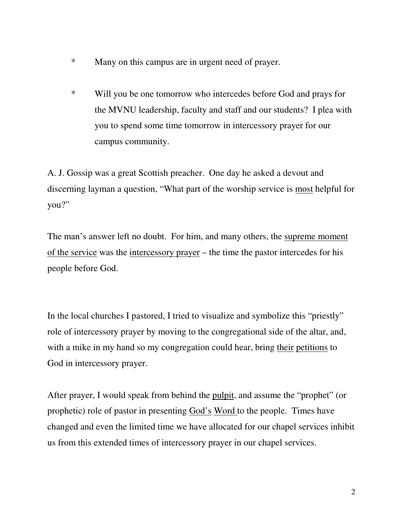- \* Many on this campus are in urgent need of prayer.
- \* Will you be one tomorrow who intercedes before God and prays for the MVNU leadership, faculty and staff and our students? I plea with you to spend some time tomorrow in intercessory prayer for our campus community.

A. J. Gossip was a great Scottish preacher. One day he asked a devout and discerning layman a question, "What part of the worship service is most helpful for you?"

The man's answer left no doubt. For him, and many others, the supreme moment of the service was the intercessory prayer – the time the pastor intercedes for his people before God.

In the local churches I pastored, I tried to visualize and symbolize this "priestly" role of intercessory prayer by moving to the congregational side of the altar, and, with a mike in my hand so my congregation could hear, bring their petitions to God in intercessory prayer.

After prayer, I would speak from behind the pulpit, and assume the "prophet" (or prophetic) role of pastor in presenting God's Word to the people. Times have changed and even the limited time we have allocated for our chapel services inhibit us from this extended times of intercessory prayer in our chapel services.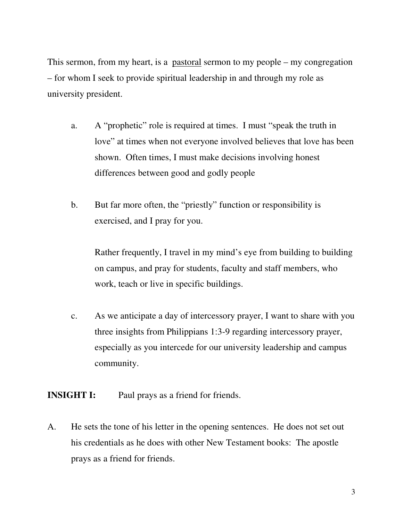This sermon, from my heart, is a pastoral sermon to my people – my congregation – for whom I seek to provide spiritual leadership in and through my role as university president.

- a. A "prophetic" role is required at times. I must "speak the truth in love" at times when not everyone involved believes that love has been shown. Often times, I must make decisions involving honest differences between good and godly people
- b. But far more often, the "priestly" function or responsibility is exercised, and I pray for you.

Rather frequently, I travel in my mind's eye from building to building on campus, and pray for students, faculty and staff members, who work, teach or live in specific buildings.

c. As we anticipate a day of intercessory prayer, I want to share with you three insights from Philippians 1:3-9 regarding intercessory prayer, especially as you intercede for our university leadership and campus community.

**INSIGHT I:** Paul prays as a friend for friends.

A. He sets the tone of his letter in the opening sentences. He does not set out his credentials as he does with other New Testament books: The apostle prays as a friend for friends.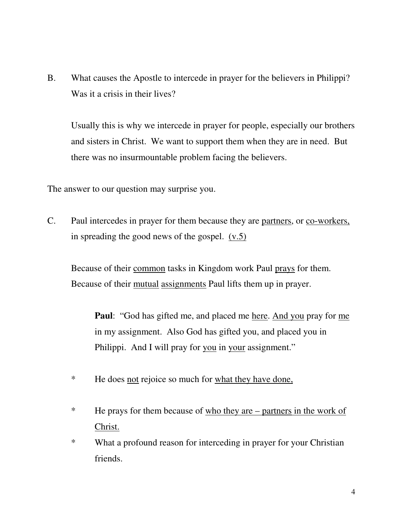B. What causes the Apostle to intercede in prayer for the believers in Philippi? Was it a crisis in their lives?

Usually this is why we intercede in prayer for people, especially our brothers and sisters in Christ. We want to support them when they are in need. But there was no insurmountable problem facing the believers.

The answer to our question may surprise you.

C. Paul intercedes in prayer for them because they are partners, or co-workers, in spreading the good news of the gospel. (v.5)

Because of their common tasks in Kingdom work Paul prays for them. Because of their mutual assignments Paul lifts them up in prayer.

**Paul**: "God has gifted me, and placed me here. And you pray for me in my assignment. Also God has gifted you, and placed you in Philippi. And I will pray for you in your assignment."

- \* He does not rejoice so much for what they have done,
- \* He prays for them because of who they are partners in the work of Christ.

\* What a profound reason for interceding in prayer for your Christian friends.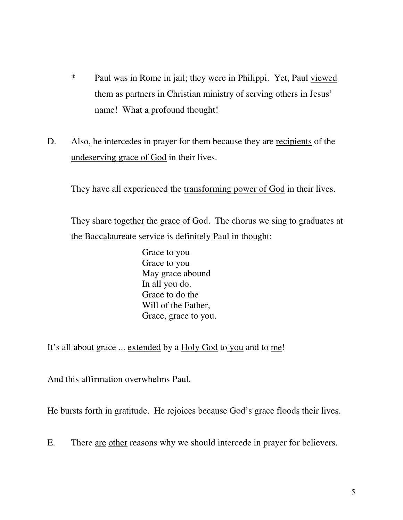- \* Paul was in Rome in jail; they were in Philippi. Yet, Paul viewed them as partners in Christian ministry of serving others in Jesus' name! What a profound thought!
- D. Also, he intercedes in prayer for them because they are recipients of the undeserving grace of God in their lives.

They have all experienced the transforming power of God in their lives.

They share together the grace of God. The chorus we sing to graduates at the Baccalaureate service is definitely Paul in thought:

> Grace to you Grace to you May grace abound In all you do. Grace to do the Will of the Father, Grace, grace to you.

It's all about grace ... extended by a Holy God to you and to me!

And this affirmation overwhelms Paul.

He bursts forth in gratitude. He rejoices because God's grace floods their lives.

E. There are other reasons why we should intercede in prayer for believers.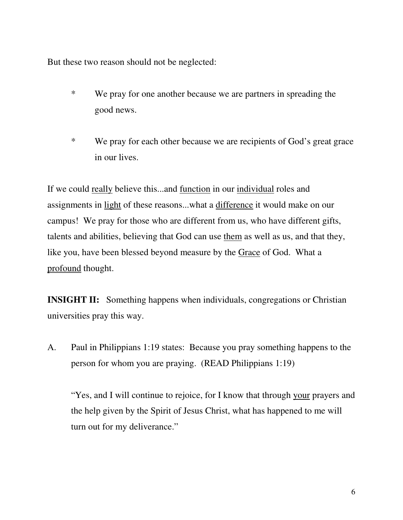But these two reason should not be neglected:

- \* We pray for one another because we are partners in spreading the good news.
- \* We pray for each other because we are recipients of God's great grace in our lives.

If we could really believe this...and function in our individual roles and assignments in light of these reasons...what a difference it would make on our campus! We pray for those who are different from us, who have different gifts, talents and abilities, believing that God can use them as well as us, and that they, like you, have been blessed beyond measure by the Grace of God. What a profound thought.

**INSIGHT II:** Something happens when individuals, congregations or Christian universities pray this way.

A. Paul in Philippians 1:19 states: Because you pray something happens to the person for whom you are praying. (READ Philippians 1:19)

"Yes, and I will continue to rejoice, for I know that through your prayers and the help given by the Spirit of Jesus Christ, what has happened to me will turn out for my deliverance."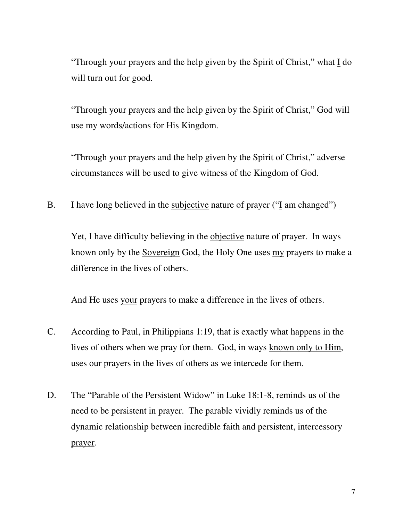"Through your prayers and the help given by the Spirit of Christ," what I do will turn out for good.

"Through your prayers and the help given by the Spirit of Christ," God will use my words/actions for His Kingdom.

"Through your prayers and the help given by the Spirit of Christ," adverse circumstances will be used to give witness of the Kingdom of God.

B. I have long believed in the subjective nature of prayer ("I am changed")

Yet, I have difficulty believing in the objective nature of prayer. In ways known only by the Sovereign God, the Holy One uses my prayers to make a difference in the lives of others.

And He uses your prayers to make a difference in the lives of others.

- C. According to Paul, in Philippians 1:19, that is exactly what happens in the lives of others when we pray for them. God, in ways known only to Him, uses our prayers in the lives of others as we intercede for them.
- D. The "Parable of the Persistent Widow" in Luke 18:1-8, reminds us of the need to be persistent in prayer. The parable vividly reminds us of the dynamic relationship between incredible faith and persistent, intercessory prayer.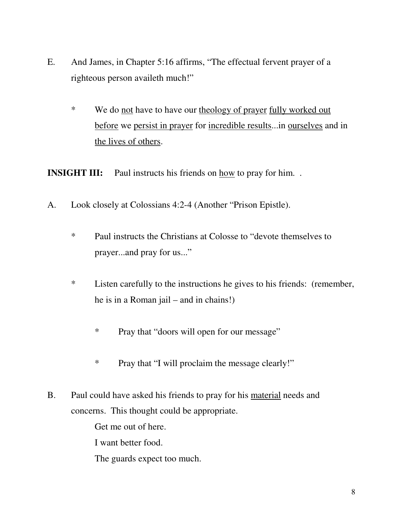- E. And James, in Chapter 5:16 affirms, "The effectual fervent prayer of a righteous person availeth much!"
	- \* We do not have to have our theology of prayer fully worked out before we persist in prayer for incredible results...in ourselves and in the lives of others.

**INSIGHT III:** Paul instructs his friends on <u>how</u> to pray for him...

- A. Look closely at Colossians 4:2-4 (Another "Prison Epistle).
	- \* Paul instructs the Christians at Colosse to "devote themselves to prayer...and pray for us..."
	- \* Listen carefully to the instructions he gives to his friends: (remember, he is in a Roman jail – and in chains!)
		- \* Pray that "doors will open for our message"
		- \* Pray that "I will proclaim the message clearly!"
- B. Paul could have asked his friends to pray for his material needs and concerns. This thought could be appropriate.

Get me out of here.

I want better food.

The guards expect too much.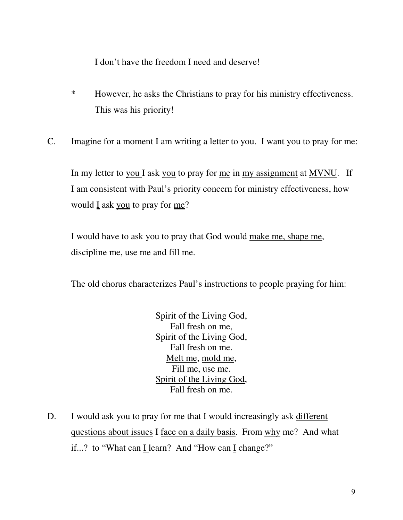I don't have the freedom I need and deserve!

- \* However, he asks the Christians to pray for his ministry effectiveness. This was his priority!
- C. Imagine for a moment I am writing a letter to you. I want you to pray for me:

In my letter to you I ask you to pray for me in my assignment at MVNU. If I am consistent with Paul's priority concern for ministry effectiveness, how would  $\underline{I}$  ask you to pray for me?

I would have to ask you to pray that God would make me, shape me, discipline me, use me and fill me.

The old chorus characterizes Paul's instructions to people praying for him:

Spirit of the Living God, Fall fresh on me, Spirit of the Living God, Fall fresh on me. Melt me, mold me, Fill me, use me. Spirit of the Living God, Fall fresh on me.

D. I would ask you to pray for me that I would increasingly ask different questions about issues I face on a daily basis. From why me? And what if...? to "What can I learn? And "How can I change?"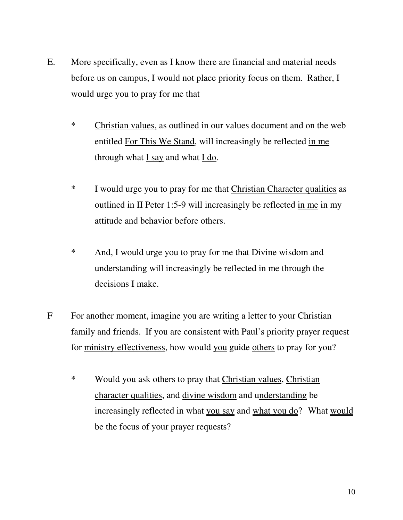- E. More specifically, even as I know there are financial and material needs before us on campus, I would not place priority focus on them. Rather, I would urge you to pray for me that
	- \* Christian values, as outlined in our values document and on the web entitled For This We Stand, will increasingly be reflected in me through what I say and what I do.
	- \* I would urge you to pray for me that Christian Character qualities as outlined in II Peter 1:5-9 will increasingly be reflected in me in my attitude and behavior before others.
	- \* And, I would urge you to pray for me that Divine wisdom and understanding will increasingly be reflected in me through the decisions I make.
- F For another moment, imagine you are writing a letter to your Christian family and friends. If you are consistent with Paul's priority prayer request for ministry effectiveness, how would you guide others to pray for you?
	- \* Would you ask others to pray that Christian values, Christian character qualities, and divine wisdom and understanding be increasingly reflected in what you say and what you do? What would be the focus of your prayer requests?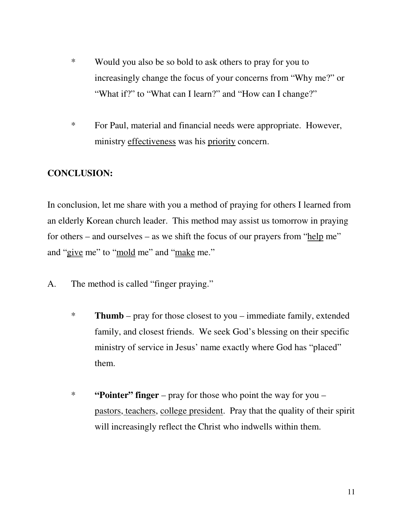- \* Would you also be so bold to ask others to pray for you to increasingly change the focus of your concerns from "Why me?" or "What if?" to "What can I learn?" and "How can I change?"
- \* For Paul, material and financial needs were appropriate. However, ministry effectiveness was his priority concern.

## **CONCLUSION:**

In conclusion, let me share with you a method of praying for others I learned from an elderly Korean church leader. This method may assist us tomorrow in praying for others – and ourselves – as we shift the focus of our prayers from "help me" and "give me" to "mold me" and "make me."

- A. The method is called "finger praying."
	- \* **Thumb** pray for those closest to you immediate family, extended family, and closest friends. We seek God's blessing on their specific ministry of service in Jesus' name exactly where God has "placed" them.
	- \* **"Pointer" finger** pray for those who point the way for you pastors, teachers, college president. Pray that the quality of their spirit will increasingly reflect the Christ who indwells within them.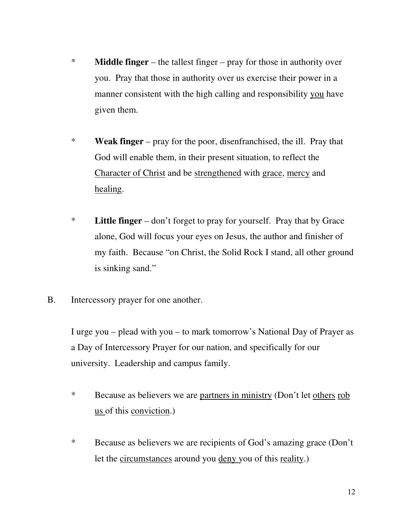- \* **Middle finger** the tallest finger pray for those in authority over you. Pray that those in authority over us exercise their power in a manner consistent with the high calling and responsibility you have given them.
- \* **Weak finger** pray for the poor, disenfranchised, the ill. Pray that God will enable them, in their present situation, to reflect the Character of Christ and be strengthened with grace, mercy and healing.
- \* **Little finger** don't forget to pray for yourself. Pray that by Grace alone, God will focus your eyes on Jesus, the author and finisher of my faith. Because "on Christ, the Solid Rock I stand, all other ground is sinking sand."
- B. Intercessory prayer for one another.

I urge you – plead with you – to mark tomorrow's National Day of Prayer as a Day of Intercessory Prayer for our nation, and specifically for our university. Leadership and campus family.

- \* Because as believers we are partners in ministry (Don't let others rob us of this conviction.)
- \* Because as believers we are recipients of God's amazing grace (Don't let the circumstances around you deny you of this reality.)